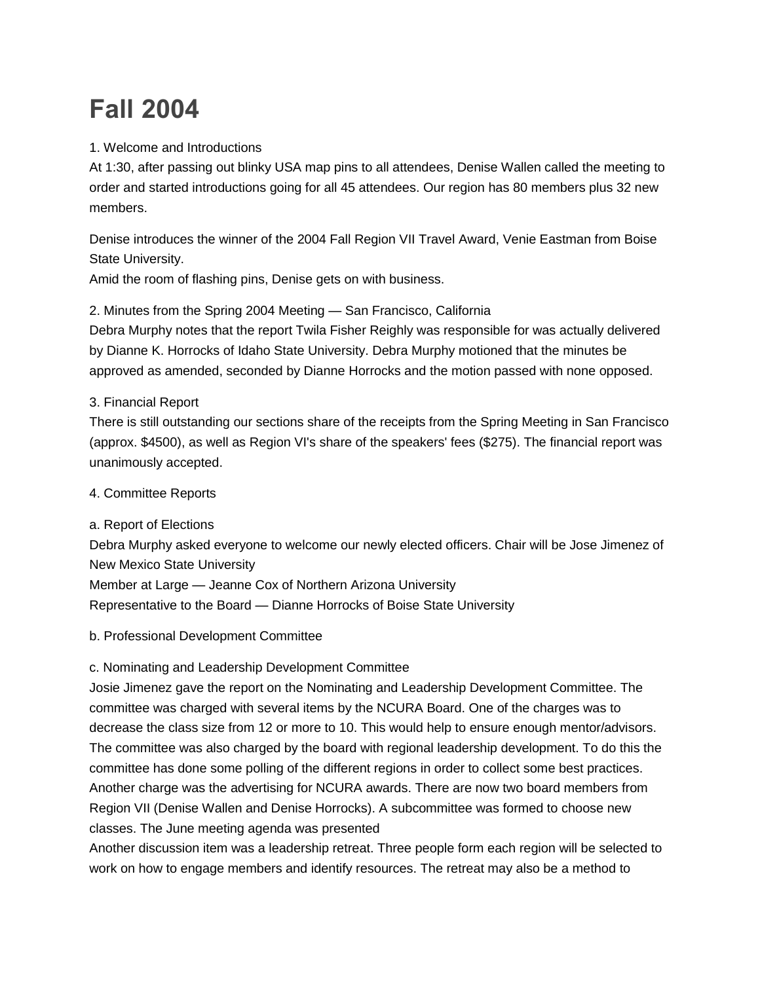# **Fall 2004**

### 1. Welcome and Introductions

At 1:30, after passing out blinky USA map pins to all attendees, Denise Wallen called the meeting to order and started introductions going for all 45 attendees. Our region has 80 members plus 32 new members.

Denise introduces the winner of the 2004 Fall Region VII Travel Award, Venie Eastman from Boise State University.

Amid the room of flashing pins, Denise gets on with business.

2. Minutes from the Spring 2004 Meeting — San Francisco, California

Debra Murphy notes that the report Twila Fisher Reighly was responsible for was actually delivered by Dianne K. Horrocks of Idaho State University. Debra Murphy motioned that the minutes be approved as amended, seconded by Dianne Horrocks and the motion passed with none opposed.

## 3. Financial Report

There is still outstanding our sections share of the receipts from the Spring Meeting in San Francisco (approx. \$4500), as well as Region VI's share of the speakers' fees (\$275). The financial report was unanimously accepted.

#### 4. Committee Reports

a. Report of Elections

Debra Murphy asked everyone to welcome our newly elected officers. Chair will be Jose Jimenez of New Mexico State University

Member at Large — Jeanne Cox of Northern Arizona University Representative to the Board — Dianne Horrocks of Boise State University

#### b. Professional Development Committee

#### c. Nominating and Leadership Development Committee

Josie Jimenez gave the report on the Nominating and Leadership Development Committee. The committee was charged with several items by the NCURA Board. One of the charges was to decrease the class size from 12 or more to 10. This would help to ensure enough mentor/advisors. The committee was also charged by the board with regional leadership development. To do this the committee has done some polling of the different regions in order to collect some best practices. Another charge was the advertising for NCURA awards. There are now two board members from Region VII (Denise Wallen and Denise Horrocks). A subcommittee was formed to choose new classes. The June meeting agenda was presented

Another discussion item was a leadership retreat. Three people form each region will be selected to work on how to engage members and identify resources. The retreat may also be a method to